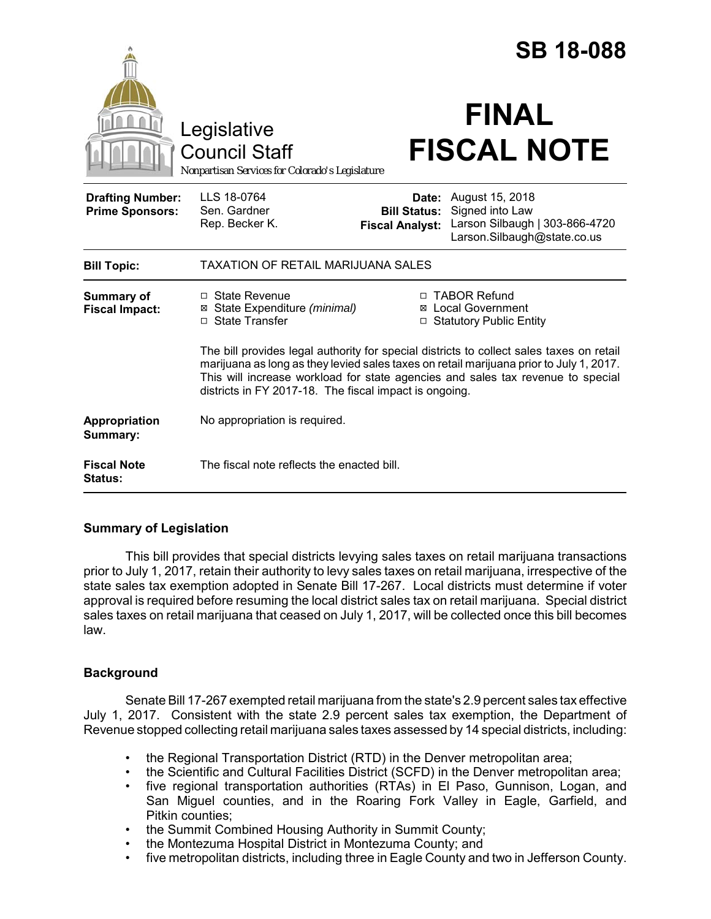|                                                   |                                                                                                                                                                                                                                                                                                                                  |                                                        | <b>SB 18-088</b>                                                                                    |
|---------------------------------------------------|----------------------------------------------------------------------------------------------------------------------------------------------------------------------------------------------------------------------------------------------------------------------------------------------------------------------------------|--------------------------------------------------------|-----------------------------------------------------------------------------------------------------|
|                                                   | Legislative<br><b>Council Staff</b><br>Nonpartisan Services for Colorado's Legislature                                                                                                                                                                                                                                           |                                                        | <b>FINAL</b><br><b>FISCAL NOTE</b>                                                                  |
| <b>Drafting Number:</b><br><b>Prime Sponsors:</b> | LLS 18-0764<br>Sen. Gardner<br>Rep. Becker K.                                                                                                                                                                                                                                                                                    | Date:<br><b>Bill Status:</b><br><b>Fiscal Analyst:</b> | August 15, 2018<br>Signed into Law<br>Larson Silbaugh   303-866-4720<br>Larson.Silbaugh@state.co.us |
| <b>Bill Topic:</b>                                | TAXATION OF RETAIL MARIJUANA SALES                                                                                                                                                                                                                                                                                               |                                                        |                                                                                                     |
| <b>Summary of</b><br><b>Fiscal Impact:</b>        | $\Box$ State Revenue<br>⊠ State Expenditure (minimal)<br>□ State Transfer                                                                                                                                                                                                                                                        |                                                        | □ TABOR Refund<br><b>⊠</b> Local Government<br>□ Statutory Public Entity                            |
|                                                   | The bill provides legal authority for special districts to collect sales taxes on retail<br>marijuana as long as they levied sales taxes on retail marijuana prior to July 1, 2017.<br>This will increase workload for state agencies and sales tax revenue to special<br>districts in FY 2017-18. The fiscal impact is ongoing. |                                                        |                                                                                                     |
| Appropriation<br>Summary:                         | No appropriation is required.                                                                                                                                                                                                                                                                                                    |                                                        |                                                                                                     |
| <b>Fiscal Note</b><br><b>Status:</b>              | The fiscal note reflects the enacted bill.                                                                                                                                                                                                                                                                                       |                                                        |                                                                                                     |

# **Summary of Legislation**

This bill provides that special districts levying sales taxes on retail marijuana transactions prior to July 1, 2017, retain their authority to levy sales taxes on retail marijuana, irrespective of the state sales tax exemption adopted in Senate Bill 17-267. Local districts must determine if voter approval is required before resuming the local district sales tax on retail marijuana. Special district sales taxes on retail marijuana that ceased on July 1, 2017, will be collected once this bill becomes law.

# **Background**

Senate Bill 17-267 exempted retail marijuana from the state's 2.9 percent sales tax effective July 1, 2017. Consistent with the state 2.9 percent sales tax exemption, the Department of Revenue stopped collecting retail marijuana sales taxes assessed by 14 special districts, including:

- the Regional Transportation District (RTD) in the Denver metropolitan area;
- the Scientific and Cultural Facilities District (SCFD) in the Denver metropolitan area;
- five regional transportation authorities (RTAs) in El Paso, Gunnison, Logan, and San Miguel counties, and in the Roaring Fork Valley in Eagle, Garfield, and Pitkin counties;
- the Summit Combined Housing Authority in Summit County;
- the Montezuma Hospital District in Montezuma County; and
- five metropolitan districts, including three in Eagle County and two in Jefferson County.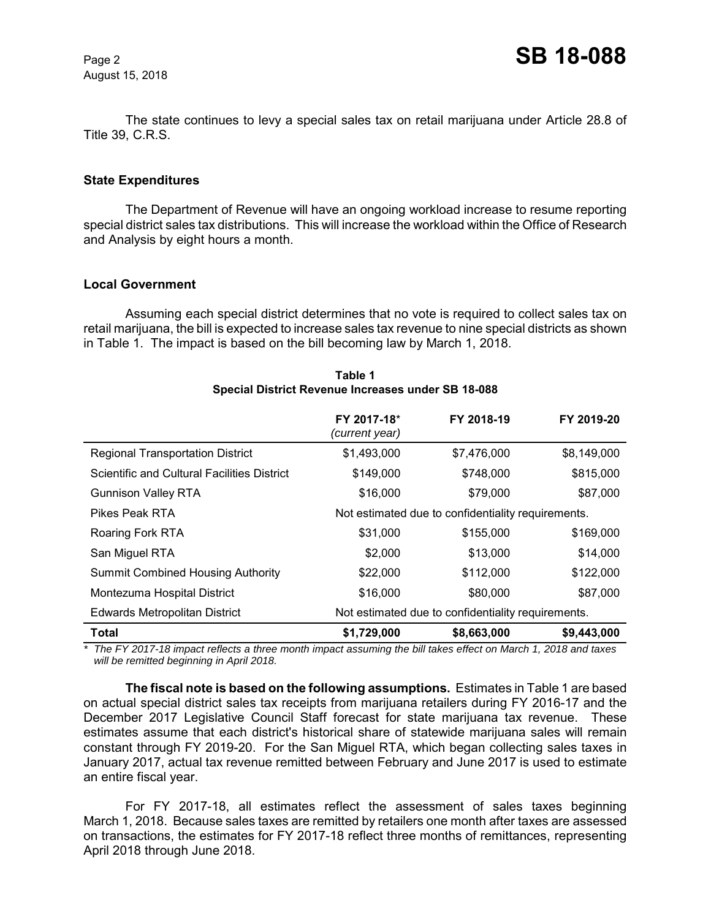August 15, 2018

The state continues to levy a special sales tax on retail marijuana under Article 28.8 of Title 39, C.R.S.

### **State Expenditures**

The Department of Revenue will have an ongoing workload increase to resume reporting special district sales tax distributions. This will increase the workload within the Office of Research and Analysis by eight hours a month.

#### **Local Government**

Assuming each special district determines that no vote is required to collect sales tax on retail marijuana, the bill is expected to increase sales tax revenue to nine special districts as shown in Table 1. The impact is based on the bill becoming law by March 1, 2018.

|                                             | FY 2017-18*<br>(current year)                      | FY 2018-19  | FY 2019-20  |
|---------------------------------------------|----------------------------------------------------|-------------|-------------|
| <b>Regional Transportation District</b>     | \$1,493,000                                        | \$7,476,000 | \$8,149,000 |
| Scientific and Cultural Facilities District | \$149,000                                          | \$748,000   | \$815,000   |
| <b>Gunnison Valley RTA</b>                  | \$16,000                                           | \$79,000    | \$87,000    |
| <b>Pikes Peak RTA</b>                       | Not estimated due to confidentiality requirements. |             |             |
| Roaring Fork RTA                            | \$31,000                                           | \$155,000   | \$169,000   |
| San Miguel RTA                              | \$2,000                                            | \$13,000    | \$14,000    |
| <b>Summit Combined Housing Authority</b>    | \$22,000                                           | \$112,000   | \$122,000   |
| Montezuma Hospital District                 | \$16,000                                           | \$80,000    | \$87,000    |
| <b>Edwards Metropolitan District</b>        | Not estimated due to confidentiality requirements. |             |             |
| <b>Total</b>                                | \$1,729,000                                        | \$8,663,000 | \$9,443,000 |

**Table 1 Special District Revenue Increases under SB 18-088**

*\* The FY 2017-18 impact reflects a three month impact assuming the bill takes effect on March 1, 2018 and taxes will be remitted beginning in April 2018.*

**The fiscal note is based on the following assumptions.** Estimates in Table 1 are based on actual special district sales tax receipts from marijuana retailers during FY 2016-17 and the December 2017 Legislative Council Staff forecast for state marijuana tax revenue. These estimates assume that each district's historical share of statewide marijuana sales will remain constant through FY 2019-20. For the San Miguel RTA, which began collecting sales taxes in January 2017, actual tax revenue remitted between February and June 2017 is used to estimate an entire fiscal year.

For FY 2017-18, all estimates reflect the assessment of sales taxes beginning March 1, 2018. Because sales taxes are remitted by retailers one month after taxes are assessed on transactions, the estimates for FY 2017-18 reflect three months of remittances, representing April 2018 through June 2018.